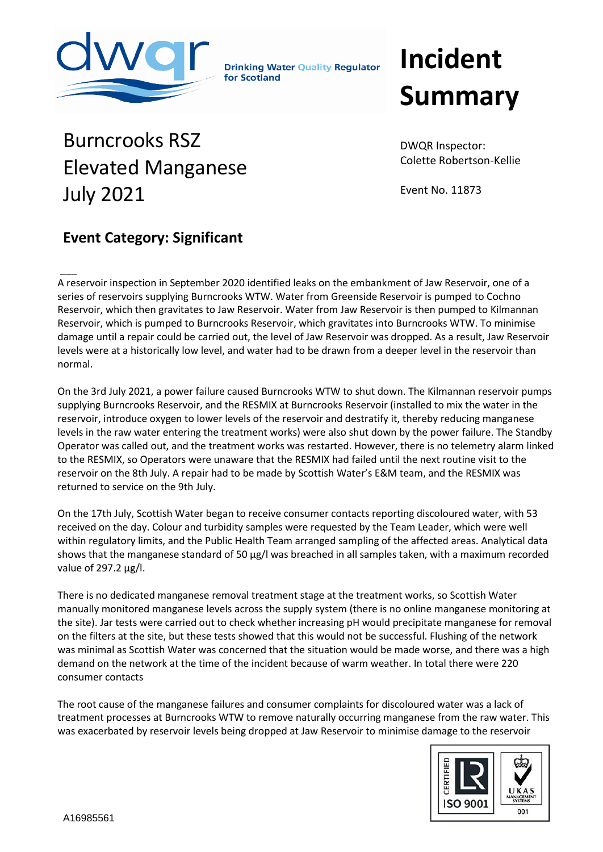

**Drinking Water Quality Regulator** for Scotland

## **Incident Summary**

Burncrooks RSZ Elevated Manganese July 2021

DWQR Inspector: Colette Robertson-Kellie

Event No. 11873

## **Event Category: Significant**

 $\overline{\phantom{a}}$ A reservoir inspection in September 2020 identified leaks on the embankment of Jaw Reservoir, one of a series of reservoirs supplying Burncrooks WTW. Water from Greenside Reservoir is pumped to Cochno Reservoir, which then gravitates to Jaw Reservoir. Water from Jaw Reservoir is then pumped to Kilmannan Reservoir, which is pumped to Burncrooks Reservoir, which gravitates into Burncrooks WTW. To minimise damage until a repair could be carried out, the level of Jaw Reservoir was dropped. As a result, Jaw Reservoir levels were at a historically low level, and water had to be drawn from a deeper level in the reservoir than normal.

On the 3rd July 2021, a power failure caused Burncrooks WTW to shut down. The Kilmannan reservoir pumps supplying Burncrooks Reservoir, and the RESMIX at Burncrooks Reservoir (installed to mix the water in the reservoir, introduce oxygen to lower levels of the reservoir and destratify it, thereby reducing manganese levels in the raw water entering the treatment works) were also shut down by the power failure. The Standby Operator was called out, and the treatment works was restarted. However, there is no telemetry alarm linked to the RESMIX, so Operators were unaware that the RESMIX had failed until the next routine visit to the reservoir on the 8th July. A repair had to be made by Scottish Water's E&M team, and the RESMIX was returned to service on the 9th July.

On the 17th July, Scottish Water began to receive consumer contacts reporting discoloured water, with 53 received on the day. Colour and turbidity samples were requested by the Team Leader, which were well within regulatory limits, and the Public Health Team arranged sampling of the affected areas. Analytical data shows that the manganese standard of 50 µg/l was breached in all samples taken, with a maximum recorded value of 297.2 µg/l.

There is no dedicated manganese removal treatment stage at the treatment works, so Scottish Water manually monitored manganese levels across the supply system (there is no online manganese monitoring at the site). Jar tests were carried out to check whether increasing pH would precipitate manganese for removal on the filters at the site, but these tests showed that this would not be successful. Flushing of the network was minimal as Scottish Water was concerned that the situation would be made worse, and there was a high demand on the network at the time of the incident because of warm weather. In total there were 220 consumer contacts

The root cause of the manganese failures and consumer complaints for discoloured water was a lack of treatment processes at Burncrooks WTW to remove naturally occurring manganese from the raw water. This was exacerbated by reservoir levels being dropped at Jaw Reservoir to minimise damage to the reservoir